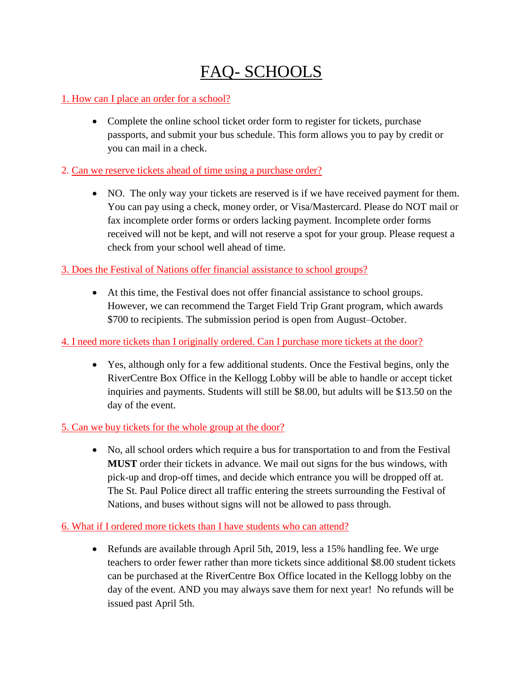# FAQ- SCHOOLS

## 1. How can I place an order for a school?

• Complete the online school ticket order form to register for tickets, purchase passports, and submit your bus schedule. This form allows you to pay by credit or you can mail in a check.

## 2. Can we reserve tickets ahead of time using a purchase order?

 NO. The only way your tickets are reserved is if we have received payment for them. You can pay using a check, money order, or Visa/Mastercard. Please do NOT mail or fax incomplete order forms or orders lacking payment. Incomplete order forms received will not be kept, and will not reserve a spot for your group. Please request a check from your school well ahead of time.

## 3. Does the Festival of Nations offer financial assistance to school groups?

 At this time, the Festival does not offer financial assistance to school groups. However, we can recommend the Target Field Trip Grant program, which awards \$700 to recipients. The submission period is open from August–October.

# 4. I need more tickets than I originally ordered. Can I purchase more tickets at the door?

 Yes, although only for a few additional students. Once the Festival begins, only the RiverCentre Box Office in the Kellogg Lobby will be able to handle or accept ticket inquiries and payments. Students will still be \$8.00, but adults will be \$13.50 on the day of the event.

# 5. Can we buy tickets for the whole group at the door?

 No, all school orders which require a bus for transportation to and from the Festival **MUST** order their tickets in advance. We mail out signs for the bus windows, with pick-up and drop-off times, and decide which entrance you will be dropped off at. The St. Paul Police direct all traffic entering the streets surrounding the Festival of Nations, and buses without signs will not be allowed to pass through.

# 6. What if I ordered more tickets than I have students who can attend?

 Refunds are available through April 5th, 2019, less a 15% handling fee. We urge teachers to order fewer rather than more tickets since additional \$8.00 student tickets can be purchased at the RiverCentre Box Office located in the Kellogg lobby on the day of the event. AND you may always save them for next year! No refunds will be issued past April 5th.